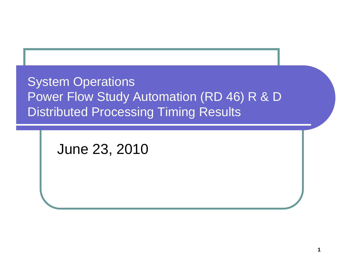System Operations Power Flow Study Automation (RD 46) R & D **Distributed Processing Timing Results** 

June 23, 2010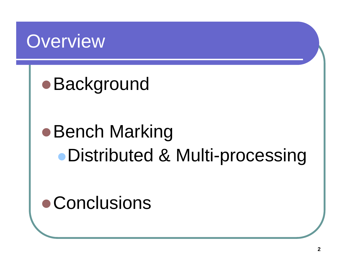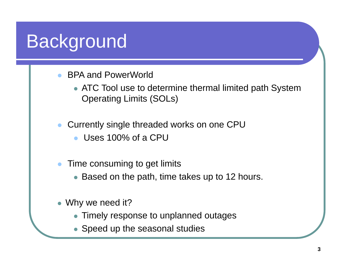# Background

- $\bullet$  BPA and PowerWorld
	- $\bullet$  ATC Tool use to determine thermal limited path System Operating Limits (SOLs)
- $\bullet$  Currently single threaded works on one CPU
	- $\bullet$ Uses 100% of a CPU
- $\bullet$  Time consuming to get limits
	- Based on the path, time takes up to 12 hours.
- Why we need it?
	- Timely response to unplanned outages
	- Speed up the seasonal studies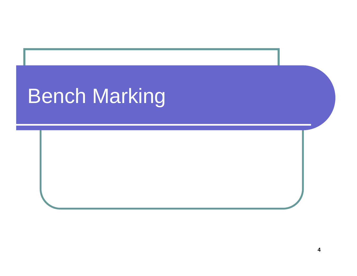# Bench Marking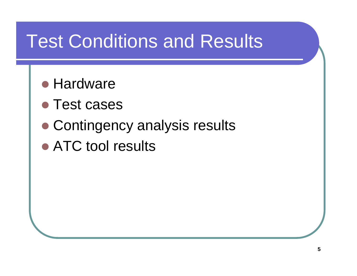# Test Conditions and Results

- **Hardware**
- **Test cases**
- Contingency analysis results
- ATC tool results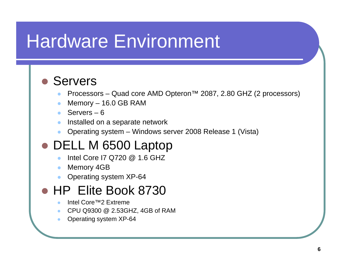## Hardware Environment

#### **• Servers**

- $\bullet$ Processors – Quad core AMD Opteron™ 2087, 2.80 GHZ (2 processors)
- $\bullet$ Memory – 16.0 GB RAM
- $\bullet$ Servers – 6
- $\bullet$  $\bullet$  Installed on a separate network
- $\bullet$ Operating system – Windows server 2008 Release 1 (Vista)

#### ● DELL M 6500 Laptop

- $\bullet$  $\bullet$  Intel Core I7 Q720  $@$  1.6 GHZ
- $\bullet$ Memory 4GB
- $\bullet$ Operating system XP-64

#### • HP Elite Book 8730

- $\bullet$ Intel Core™2 Extreme
- $\bullet$ CPU Q9300 @ 2.53GHZ, 4GB of RAM
- $\bullet$ Operating system XP-64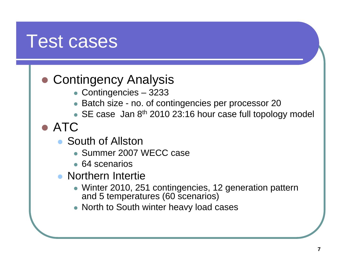## Test cases

### • Contingency Analysis

- Contingencies 3233
- Batch size no. of contingencies per processor 20
- SE case Jan 8<sup>th</sup> 2010 23:16 hour case full topology model
- ATC
	- South of Allston
		- Summer 2007 WECC case
		- 64 scenarios
	- $\bullet$  Northern Intertie
		- Winter 2010, 251 contingencies, 12 generation pattern and 5 temperatures (60 scenarios)
		- North to South winter heavy load cases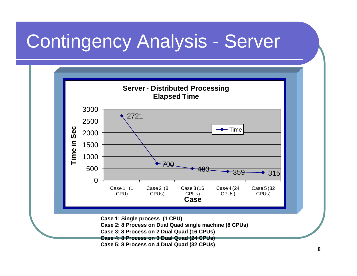# Contingency Analysis - Server

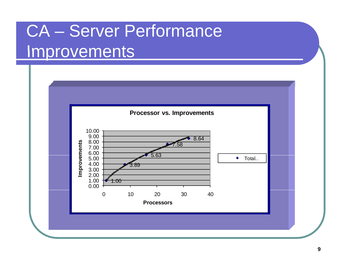# CA – Server Performance Improvements

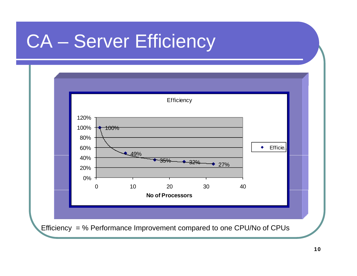# CA – Server Efficiency

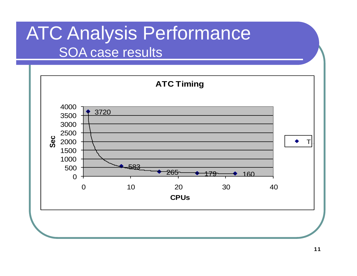# ATC Analysis Performance

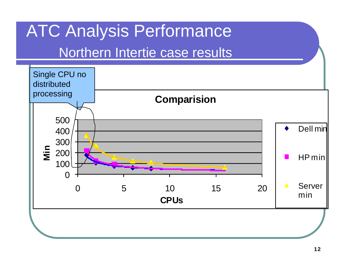## **ATC Analysis Performance**

#### Northern Intertie case results

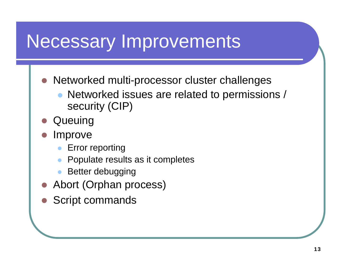## Necessary Improvements

- $\bullet$ Networked multi-processor cluster challenges
	- $\bullet$  Networked issues are related to permissions / security (CIP)
- $\bullet$ **Queuing**
- $\bullet$  Improve
	- $\bullet$ Error reporting
	- $\bullet$ Populate results as it completes
	- $\bullet$ Better debugging
- Abort (Orphan process)
- Script commands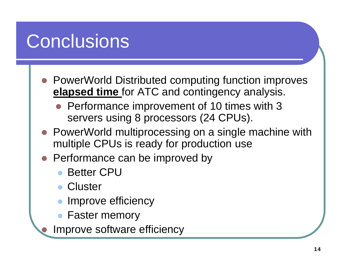# **Conclusions**

- PowerWorld Distributed computing function improves **elapsed time** for ATC and contingency analysis.
	- Performance improvement of 10 times with 3 servers using 8 processors (24 CPUs).
- PowerWorld multiprocessing on a single machine with multiple CPUs is ready for production use
- $\bullet$  Performance can be improved by
	- $\bullet$ Better CPU
	- $\bullet$ **Cluster**

 $\bullet$ 

- $\bullet$ Improve efficiency
- $\bullet$ Faster memory

Improve software efficiency